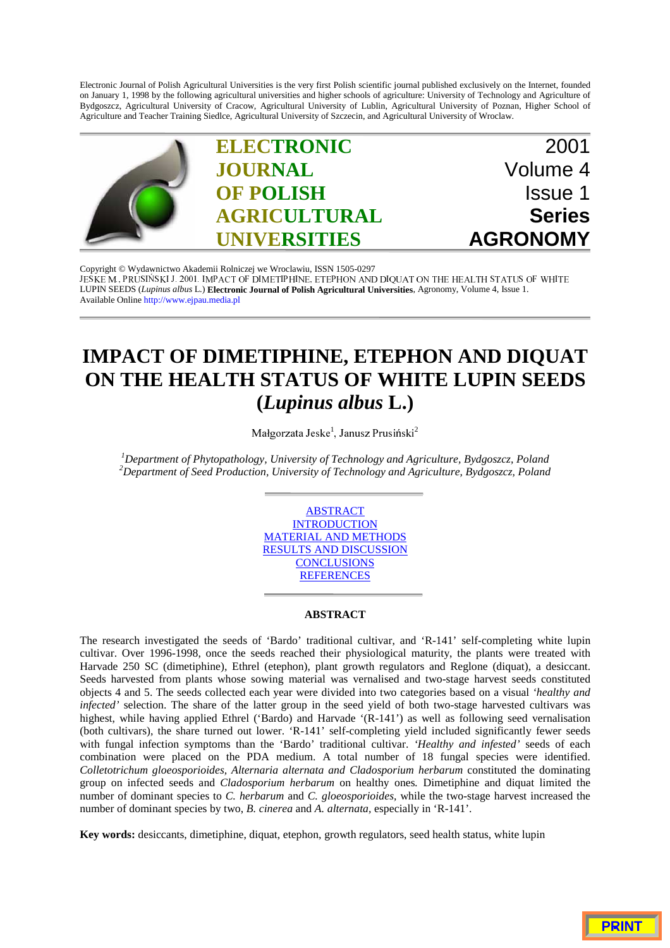Electronic Journal of Polish Agricultural Universities is the very first Polish scientific journal published exclusively on the Internet, founded on January 1, 1998 by the following agricultural universities and higher schools of agriculture: University of Technology and Agriculture of Bydgoszcz, Agricultural University of Cracow, Agricultural University of Lublin, Agricultural University of Poznan, Higher School of Agriculture and Teacher Training Siedlce, Agricultural University of Szczecin, and Agricultural University of Wroclaw.



Copyright © Wydawnictwo Akademii Rolniczej we Wroclawiu, ISSN 1505-0297 JESKEM., PRUSIŃSKI J. 2001. IMPACT OF DIMETIPHINE, ETEPHON AND DIOUAT ON THE HEALTH STATUS OF WHITE LUPIN SEEDS (*Lupinus albus* L.) **Electronic Journal of Polish Agricultural Universities**, Agronomy, Volume 4, Issue 1. Available Online http://www.ejpau.media.pl

# **IMPACT OF DIMETIPHINE, ETEPHON AND DIQUAT ON THE HEALTH STATUS OF WHITE LUPIN SEEDS (***Lupinus albus* **L.)**

Małgorzata Jeske $^{\rm l}$ , Janusz Prusiński $^{\rm 2}$ 

*1 Department of Phytopathology, University of Technology and Agriculture, Bydgoszcz, Poland 2 Department of Seed Production, University of Technology and Agriculture, Bydgoszcz, Poland*



## **ABSTRACT**

The research investigated the seeds of 'Bardo' traditional cultivar, and 'R-141' self-completing white lupin cultivar. Over 1996-1998, once the seeds reached their physiological maturity, the plants were treated with Harvade 250 SC (dimetiphine), Ethrel (etephon), plant growth regulators and Reglone (diquat), a desiccant. Seeds harvested from plants whose sowing material was vernalised and two-stage harvest seeds constituted objects 4 and 5. The seeds collected each year were divided into two categories based on a visual *'healthy and infected'* selection. The share of the latter group in the seed yield of both two-stage harvested cultivars was highest, while having applied Ethrel ('Bardo) and Harvade '(R-141') as well as following seed vernalisation (both cultivars), the share turned out lower. 'R-141' self-completing yield included significantly fewer seeds with fungal infection symptoms than the 'Bardo' traditional cultivar. *'Healthy and infested'* seeds of each combination were placed on the PDA medium. A total number of 18 fungal species were identified. *Colletotrichum gloeosporioides, Alternaria alternata and Cladosporium herbarum* constituted the dominating group on infected seeds and *Cladosporium herbarum* on healthy ones*.* Dimetiphine and diquat limited the number of dominant species to *C. herbarum* and *C. gloeosporioides,* while the two-stage harvest increased the number of dominant species by two, *B. cinerea* and *A. alternata,* especially in 'R-141'.

**Key words:** desiccants, dimetiphine, diquat, etephon, growth regulators, seed health status, white lupin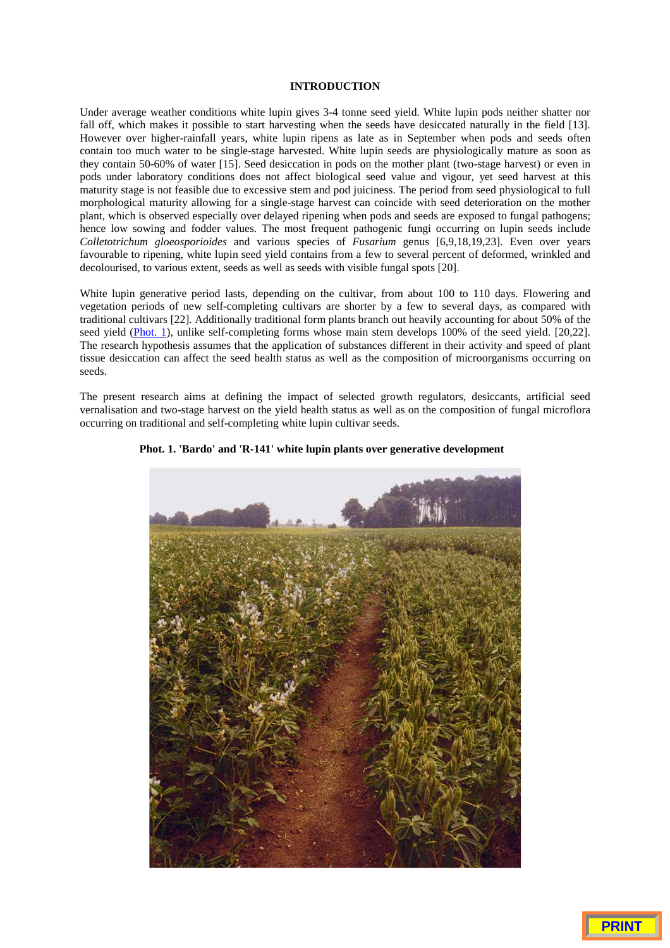## **INTRODUCTION**

Under average weather conditions white lupin gives 3-4 tonne seed yield. White lupin pods neither shatter nor fall off, which makes it possible to start harvesting when the seeds have desiccated naturally in the field [13]. However over higher-rainfall years, white lupin ripens as late as in September when pods and seeds often contain too much water to be single-stage harvested. White lupin seeds are physiologically mature as soon as they contain 50-60% of water [15]. Seed desiccation in pods on the mother plant (two-stage harvest) or even in pods under laboratory conditions does not affect biological seed value and vigour, yet seed harvest at this maturity stage is not feasible due to excessive stem and pod juiciness. The period from seed physiological to full morphological maturity allowing for a single-stage harvest can coincide with seed deterioration on the mother plant, which is observed especially over delayed ripening when pods and seeds are exposed to fungal pathogens; hence low sowing and fodder values. The most frequent pathogenic fungi occurring on lupin seeds include *Colletotrichum gloeosporioides* and various species of *Fusarium* genus [6,9,18,19,23]. Even over years favourable to ripening, white lupin seed yield contains from a few to several percent of deformed, wrinkled and decolourised, to various extent, seeds as well as seeds with visible fungal spots [20].

White lupin generative period lasts, depending on the cultivar, from about 100 to 110 days. Flowering and vegetation periods of new self-completing cultivars are shorter by a few to several days, as compared with traditional cultivars [22]. Additionally traditional form plants branch out heavily accounting for about 50% of the seed yield (Phot. 1), unlike self-completing forms whose main stem develops 100% of the seed yield. [20,22]. The research hypothesis assumes that the application of substances different in their activity and speed of plant tissue desiccation can affect the seed health status as well as the composition of microorganisms occurring on seeds.

The present research aims at defining the impact of selected growth regulators, desiccants, artificial seed vernalisation and two-stage harvest on the yield health status as well as on the composition of fungal microflora occurring on traditional and self-completing white lupin cultivar seeds.



#### **Phot. 1. 'Bardo' and 'R-141' white lupin plants over generative development**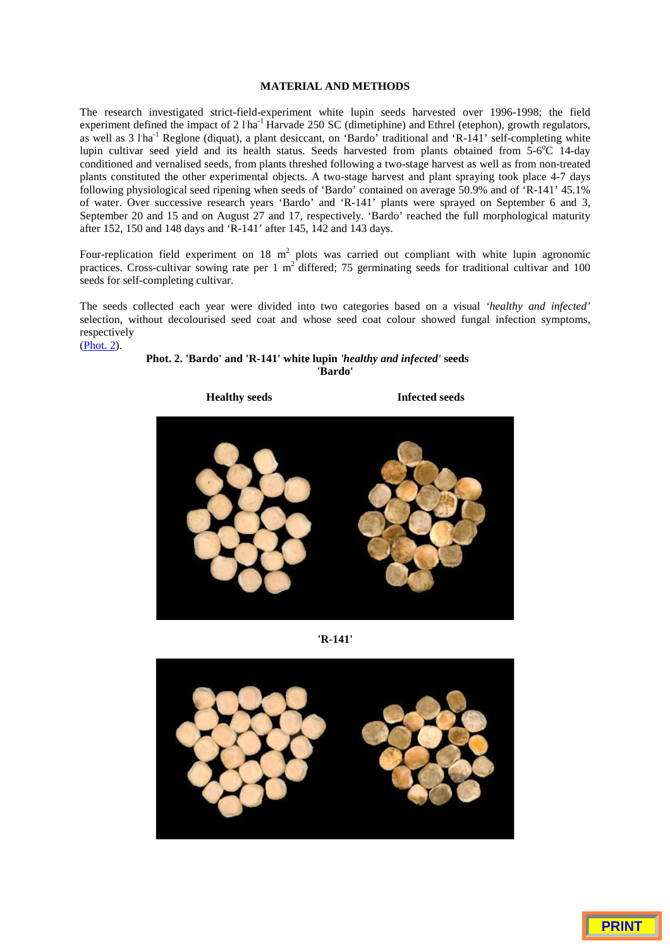### **MATERIAL AND METHODS**

The research investigated strict-field-experiment white lupin seeds harvested over 1996-1998; the field experiment defined the impact of 2 l'ha<sup>-1</sup> Harvade 250 SC (dimetiphine) and Ethrel (etephon), growth regulators, as well as 3 l'ha<sup>-1</sup> Reglone (diquat), a plant desiccant, on 'Bardo' traditional and 'R-141' self-completing white lupin cultivar seed yield and its health status. Seeds harvested from plants obtained from 5-6°C 14-day conditioned and vernalised seeds, from plants threshed following a two-stage harvest as well as from non-treated plants constituted the other experimental objects. A two-stage harvest and plant spraying took place 4-7 days following physiological seed ripening when seeds of 'Bardo' contained on average 50.9% and of 'R-141' 45.1% of water. Over successive research years 'Bardo' and 'R-141' plants were sprayed on September 6 and 3, September 20 and 15 and on August 27 and 17, respectively. 'Bardo' reached the full morphological maturity after 152, 150 and 148 days and 'R-141' after 145, 142 and 143 days.

Four-replication field experiment on 18  $m^2$  plots was carried out compliant with white lupin agronomic practices. Cross-cultivar sowing rate per 1 m<sup>2</sup> differed; 75 germinating seeds for traditional cultivar and 100 seeds for self-completing cultivar.

The seeds collected each year were divided into two categories based on a visual *'healthy and infected'* selection, without decolourised seed coat and whose seed coat colour showed fungal infection symptoms, respectively (Phot. 2).

# **Phot. 2. 'Bardo' and 'R-141' white lupin** *'healthy and infected'* **seeds 'Bardo'**



**'R-141'**

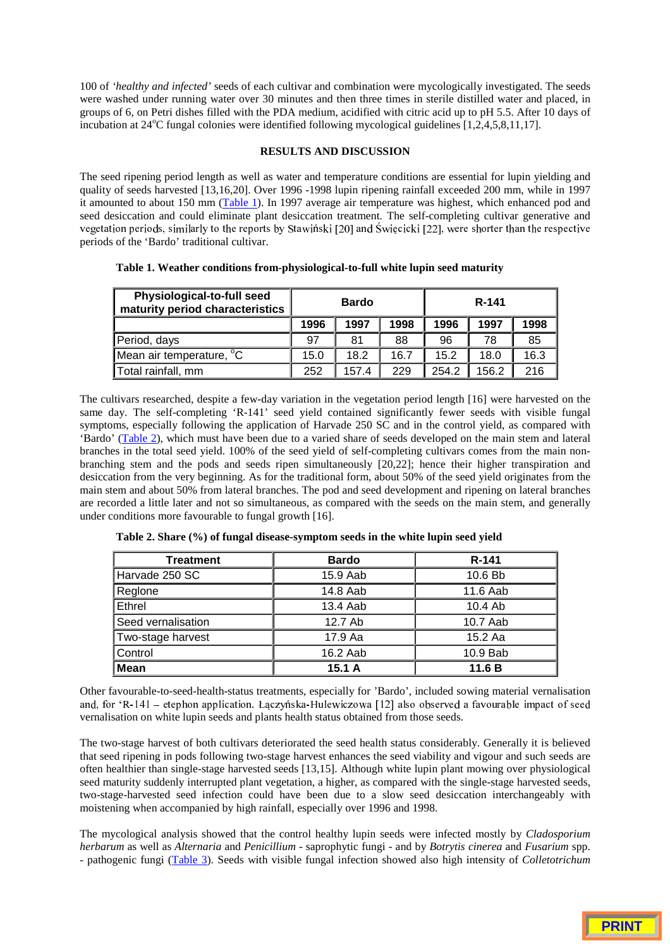100 of *'healthy and infected'* seeds of each cultivar and combination were mycologically investigated. The seeds were washed under running water over 30 minutes and then three times in sterile distilled water and placed, in groups of 6, on Petri dishes filled with the PDA medium, acidified with citric acid up to pH 5.5. After 10 days of incubation at 24°C fungal colonies were identified following mycological guidelines [1,2,4,5,8,11,17].

# **RESULTS AND DISCUSSION**

The seed ripening period length as well as water and temperature conditions are essential for lupin yielding and quality of seeds harvested [13,16,20]. Over 1996 -1998 lupin ripening rainfall exceeded 200 mm, while in 1997 it amounted to about 150 mm (Table 1). In 1997 average air temperature was highest, which enhanced pod and seed desiccation and could eliminate plant desiccation treatment. The self-completing cultivar generative and vegetation periods, similarly to the reports by Stawiński [20] and Święcicki [22], were shorter than the respective periods of the 'Bardo' traditional cultivar.

| Physiological-to-full seed<br>maturity period characteristics | <b>Bardo</b> |       |      | R-141 |       |      |  |
|---------------------------------------------------------------|--------------|-------|------|-------|-------|------|--|
|                                                               | 1996         | 1997  | 1998 | 1996  | 1997  | 1998 |  |
| Period, days                                                  | 97           | 81    | 88   | 96    | 78    | 85   |  |
| Mean air temperature, <sup>o</sup> C                          | 15.0         | 18.2  | 16.7 | 15.2  | 18.0  | 16.3 |  |
| Total rainfall, mm                                            | 252          | 157.4 | 229  | 254.2 | 156.2 | 216  |  |

**Table 1. Weather conditions from-physiological-to-full white lupin seed maturity**

The cultivars researched, despite a few-day variation in the vegetation period length [16] were harvested on the same day. The self-completing 'R-141' seed yield contained significantly fewer seeds with visible fungal symptoms, especially following the application of Harvade 250 SC and in the control yield, as compared with 'Bardo' (Table 2), which must have been due to a varied share of seeds developed on the main stem and lateral branches in the total seed yield. 100% of the seed yield of self-completing cultivars comes from the main nonbranching stem and the pods and seeds ripen simultaneously [20,22]; hence their higher transpiration and desiccation from the very beginning. As for the traditional form, about 50% of the seed yield originates from the main stem and about 50% from lateral branches. The pod and seed development and ripening on lateral branches are recorded a little later and not so simultaneous, as compared with the seeds on the main stem, and generally under conditions more favourable to fungal growth [16].

| <b>Treatment</b>   | <b>Bardo</b> | R-141     |
|--------------------|--------------|-----------|
| Harvade 250 SC     | 15.9 Aab     | 10.6 Bb   |
| Reglone            | 14.8 Aab     | 11.6 Aab  |
| Ethrel             | 13.4 Aab     | $10.4$ Ab |
| Seed vernalisation | 12.7 Ab      | 10.7 Aab  |
| Two-stage harvest  | 17.9 Aa      | 15.2 Aa   |
| Control            | 16.2 Aab     | 10.9 Bab  |
| <b>Mean</b>        | 15.1A        | 11.6 B    |

**Table 2. Share (%) of fungal disease-symptom seeds in the white lupin seed yield**

Other favourable-to-seed-health-status treatments, especially for 'Bardo', included sowing material vernalisation and, for 'R-141 – etephon application. Laczyńska-Hulewiczowa [12] also observed a favourable impact of seed vernalisation on white lupin seeds and plants health status obtained from those seeds.

The two-stage harvest of both cultivars deteriorated the seed health status considerably. Generally it is believed that seed ripening in pods following two-stage harvest enhances the seed viability and vigour and such seeds are often healthier than single-stage harvested seeds [13,15]. Although white lupin plant mowing over physiological seed maturity suddenly interrupted plant vegetation, a higher, as compared with the single-stage harvested seeds, two-stage-harvested seed infection could have been due to a slow seed desiccation interchangeably with moistening when accompanied by high rainfall, especially over 1996 and 1998.

The mycological analysis showed that the control healthy lupin seeds were infected mostly by *Cladosporium herbarum* as well as *Alternaria* and *Penicillium* - saprophytic fungi - and by *Botrytis cinerea* and *Fusarium* spp. - pathogenic fungi (Table 3). Seeds with visible fungal infection showed also high intensity of *Colletotrichum*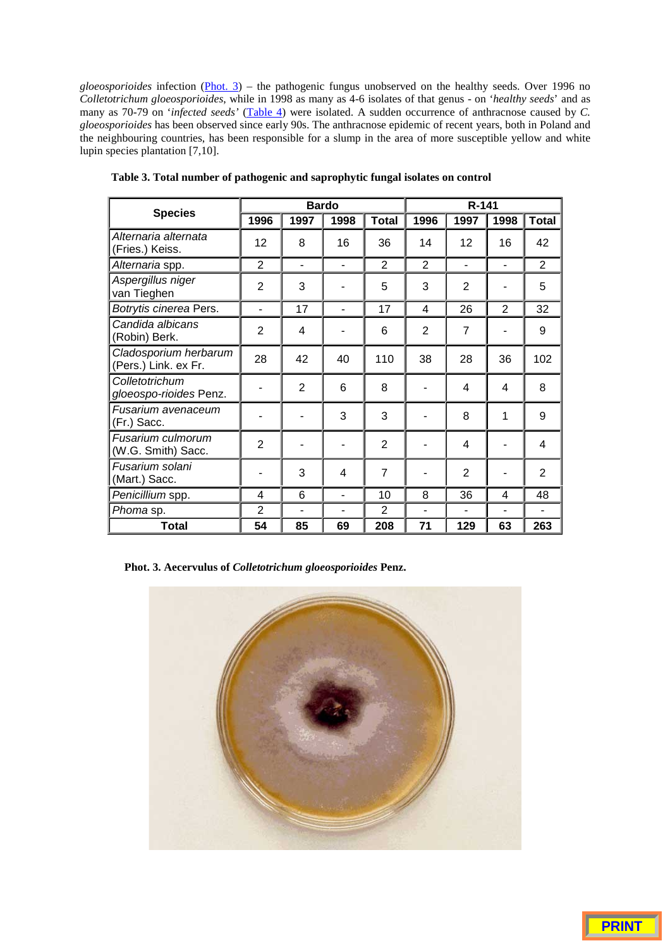*gloeosporioides* infection (Phot. 3) – the pathogenic fungus unobserved on the healthy seeds. Over 1996 no *Colletotrichum gloeosporioides*, while in 1998 as many as 4-6 isolates of that genus - on '*healthy seeds*' and as many as 70-79 on '*infected seeds'* (Table 4) were isolated. A sudden occurrence of anthracnose caused by *C*. *gloeosporioides* has been observed since early 90s. The anthracnose epidemic of recent years, both in Poland and the neighbouring countries, has been responsible for a slump in the area of more susceptible yellow and white lupin species plantation [7,10].

| <b>Species</b>                                |                |                | <b>Bardo</b>   |                | R-141 |                |                |                |  |
|-----------------------------------------------|----------------|----------------|----------------|----------------|-------|----------------|----------------|----------------|--|
|                                               | 1996           | 1997           | 1998           | <b>Total</b>   | 1996  | 1997           | 1998           | <b>Total</b>   |  |
| Alternaria alternata<br>(Fries.) Keiss.       | 12             | 8              | 16             | 36             | 14    | 12             | 16             | 42             |  |
| Alternaria spp.                               | $\overline{2}$ | $\blacksquare$ | $\blacksquare$ | $\overline{2}$ | 2     | $\blacksquare$ | ä,             | $\overline{2}$ |  |
| Aspergillus niger<br>van Tieghen              | 2              | 3              |                | 5              | 3     | $\overline{2}$ |                | 5              |  |
| Botrytis cinerea Pers.                        | $\blacksquare$ | 17             | $\blacksquare$ | 17             | 4     | 26             | $\overline{2}$ | 32             |  |
| Candida albicans<br>(Robin) Berk.             | $\overline{2}$ | 4              |                | 6              | 2     | $\overline{7}$ |                | 9              |  |
| Cladosporium herbarum<br>(Pers.) Link. ex Fr. | 28             | 42             | 40             | 110            | 38    | 28             | 36             | 102            |  |
| Colletotrichum<br>gloeospo-rioides Penz.      |                | $\overline{2}$ | 6              | 8              |       | 4              | 4              | 8              |  |
| Fusarium avenaceum<br>(Fr.) Sacc.             |                |                | 3              | 3              |       | 8              | 1              | 9              |  |
| Fusarium culmorum<br>(W.G. Smith) Sacc.       | $\overline{2}$ |                |                | $\overline{2}$ |       | 4              |                | 4              |  |
| Fusarium solani<br>(Mart.) Sacc.              |                | 3              | 4              | $\overline{7}$ |       | $\overline{2}$ |                | $\overline{2}$ |  |
| Penicillium spp.                              | 4              | 6              | $\blacksquare$ | 10             | 8     | 36             | 4              | 48             |  |
| Phoma sp.                                     | $\overline{2}$ |                |                | $\overline{2}$ |       |                |                |                |  |
| <b>Total</b>                                  | 54             | 85             | 69             | 208            | 71    | 129            | 63             | 263            |  |

**Table 3. Total number of pathogenic and saprophytic fungal isolates on control**

**Phot. 3. Aecervulus of** *Colletotrichum gloeosporioides* **Penz.**

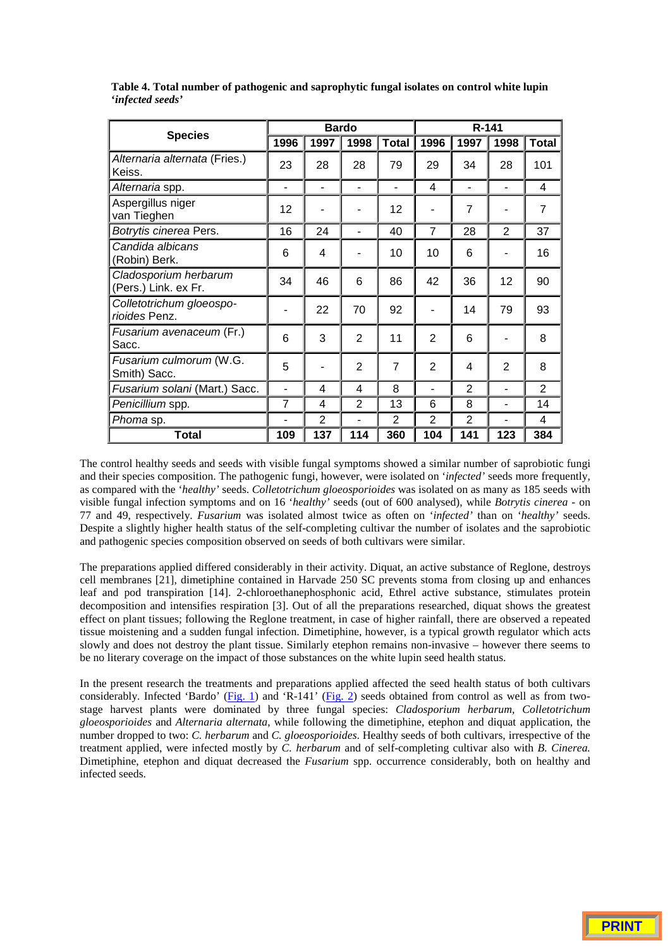| <b>Species</b>                                | <b>Bardo</b>   |                |                |                | $R - 141$      |                          |                |                |
|-----------------------------------------------|----------------|----------------|----------------|----------------|----------------|--------------------------|----------------|----------------|
|                                               | 1996           | 1997           | 1998           | <b>Total</b>   | 1996           | 1997                     | 1998           | <b>Total</b>   |
| Alternaria alternata (Fries.)<br>Keiss.       | 23             | 28             | 28             | 79             | 29             | 34                       | 28             | 101            |
| Alternaria spp.                               | ٠              | ۰              | $\blacksquare$ | ۰              | $\overline{4}$ | $\blacksquare$           | $\blacksquare$ | 4              |
| Aspergillus niger<br>van Tieghen              | 12             |                |                | 12             | ۰              | $\overline{7}$           | ۰              | $\overline{7}$ |
| Botrytis cinerea Pers.                        | 16             | 24             | ۰              | 40             | $\overline{7}$ | 28                       | $\overline{2}$ | 37             |
| Candida albicans<br>(Robin) Berk.             | 6              | 4              |                | 10             | 10             | 6                        |                | 16             |
| Cladosporium herbarum<br>(Pers.) Link. ex Fr. | 34             | 46             | 6              | 86             | 42             | 36                       | 12             | 90             |
| Colletotrichum gloeospo-<br>rioides Penz.     |                | 22             | 70             | 92             |                | 14                       | 79             | 93             |
| <i>Fusarium avenaceum</i> (Fr.)<br>Sacc.      | 6              | 3              | $\overline{2}$ | 11             | $\overline{2}$ | 6                        |                | 8              |
| Fusarium culmorum (W.G.<br>Smith) Sacc.       | 5              |                | $\overline{2}$ | $\overline{7}$ | $\overline{2}$ | $\overline{\mathcal{A}}$ | $\overline{2}$ | 8              |
| Fusarium solani (Mart.) Sacc.                 | ۰              | 4              | 4              | 8              | $\blacksquare$ | $\overline{2}$           | $\blacksquare$ | $\overline{2}$ |
| Penicillium spp.                              | $\overline{7}$ | 4              | $\overline{2}$ | 13             | 6              | 8                        | ÷,             | 14             |
| Phoma sp.                                     |                | $\overline{2}$ | ۰              | $\overline{2}$ | $\overline{2}$ | $\overline{2}$           | $\blacksquare$ | 4              |
| Total                                         | 109            | 137            | 114            | 360            | 104            | 141                      | 123            | 384            |

**Table 4. Total number of pathogenic and saprophytic fungal isolates on control white lupin '***infected seeds'*

The control healthy seeds and seeds with visible fungal symptoms showed a similar number of saprobiotic fungi and their species composition. The pathogenic fungi, however, were isolated on '*infected'* seeds more frequently, as compared with the '*healthy'* seeds. *Colletotrichum gloeosporioides* was isolated on as many as 185 seeds with visible fungal infection symptoms and on 16 '*healthy'* seeds (out of 600 analysed), while *Botrytis cinerea -* on 77 and 49, respectively. *Fusarium* was isolated almost twice as often on '*infected'* than on '*healthy'* seeds. Despite a slightly higher health status of the self-completing cultivar the number of isolates and the saprobiotic and pathogenic species composition observed on seeds of both cultivars were similar.

The preparations applied differed considerably in their activity. Diquat, an active substance of Reglone, destroys cell membranes [21], dimetiphine contained in Harvade 250 SC prevents stoma from closing up and enhances leaf and pod transpiration [14]. 2-chloroethanephosphonic acid, Ethrel active substance, stimulates protein decomposition and intensifies respiration [3]. Out of all the preparations researched, diquat shows the greatest effect on plant tissues; following the Reglone treatment, in case of higher rainfall, there are observed a repeated tissue moistening and a sudden fungal infection. Dimetiphine, however, is a typical growth regulator which acts slowly and does not destroy the plant tissue. Similarly etephon remains non-invasive – however there seems to be no literary coverage on the impact of those substances on the white lupin seed health status.

In the present research the treatments and preparations applied affected the seed health status of both cultivars considerably. Infected 'Bardo' (Fig. 1) and 'R-141' (Fig. 2) seeds obtained from control as well as from twostage harvest plants were dominated by three fungal species: *Cladosporium herbarum, Colletotrichum gloeosporioides* and *Alternaria alternata*, while following the dimetiphine, etephon and diquat application, the number dropped to two: *C. herbarum* and *C. gloeosporioides*. Healthy seeds of both cultivars, irrespective of the treatment applied, were infected mostly by *C. herbarum* and of self-completing cultivar also with *B. Cinerea.* Dimetiphine, etephon and diquat decreased the *Fusarium* spp. occurrence considerably, both on healthy and infected seeds.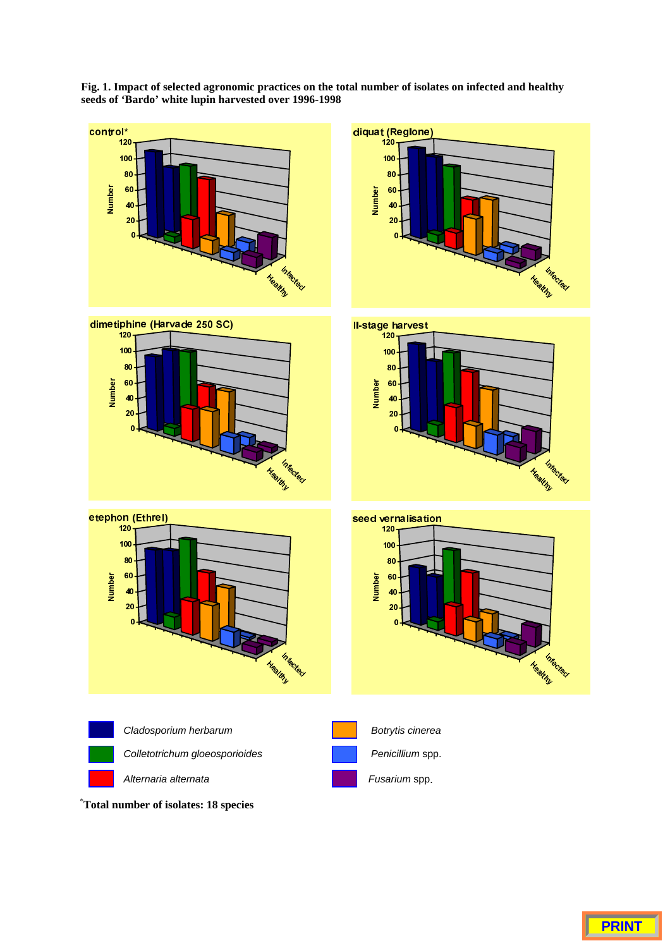**Fig. 1. Impact of selected agronomic practices on the total number of isolates on infected and healthy seeds of 'Bardo' white lupin harvested over 1996-1998**

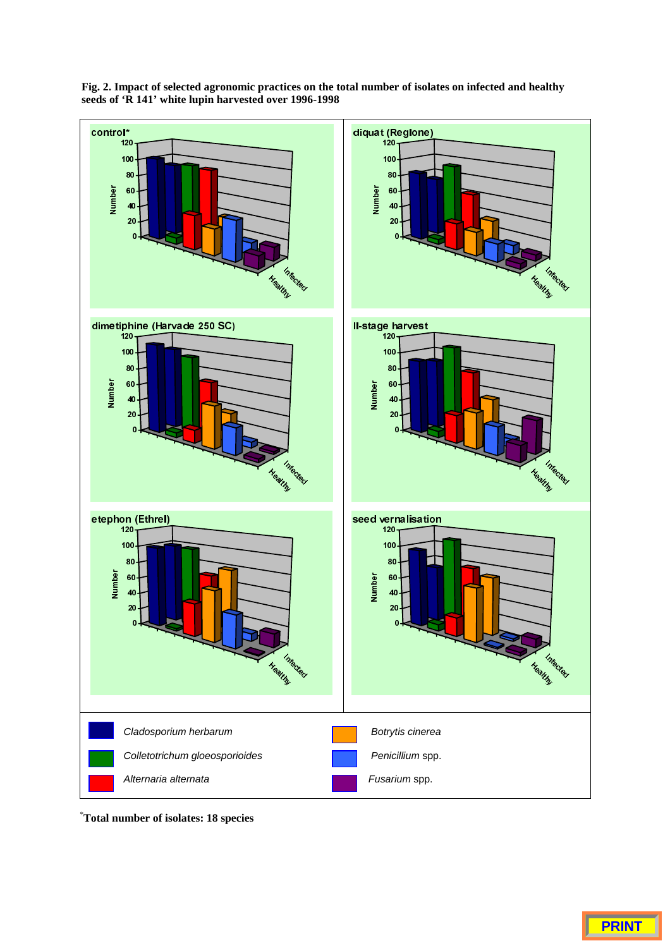



\* **Total number of isolates: 18 species**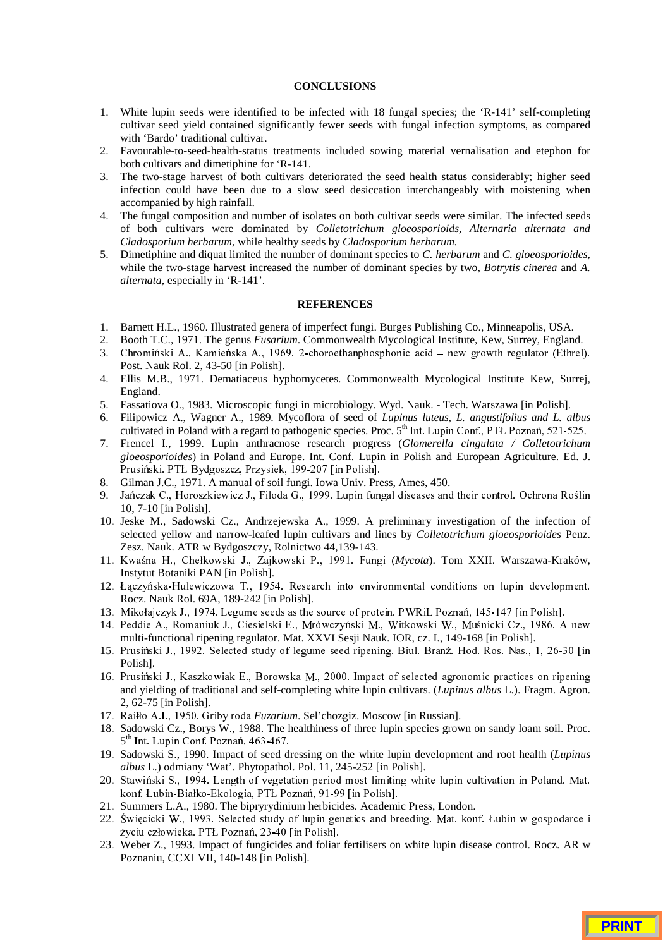### **CONCLUSIONS**

- 1. White lupin seeds were identified to be infected with 18 fungal species; the 'R-141' self-completing cultivar seed yield contained significantly fewer seeds with fungal infection symptoms, as compared with 'Bardo' traditional cultivar.
- 2. Favourable-to-seed-health-status treatments included sowing material vernalisation and etephon for both cultivars and dimetiphine for 'R-141.
- 3. The two-stage harvest of both cultivars deteriorated the seed health status considerably; higher seed infection could have been due to a slow seed desiccation interchangeably with moistening when accompanied by high rainfall.
- 4. The fungal composition and number of isolates on both cultivar seeds were similar. The infected seeds of both cultivars were dominated by *Colletotrichum gloeosporioids, Alternaria alternata and Cladosporium herbarum,* while healthy seeds by *Cladosporium herbarum.*
- 5. Dimetiphine and diquat limited the number of dominant species to *C. herbarum* and *C. gloeosporioides,* while the two-stage harvest increased the number of dominant species by two, *Botrytis cinerea* and *A. alternata,* especially in 'R-141'.

# **REFERENCES**

- 1. Barnett H.L., 1960. Illustrated genera of imperfect fungi. Burges Publishing Co., Minneapolis, USA.
- 2. Booth T.C., 1971. The genus *Fusarium*. Commonwealth Mycological Institute, Kew, Surrey, England.
- 3. Chromiński A., Kamieńska A., 1969. 2-choroethanphosphonic acid new growth regulator (Ethrel). Post. Nauk Rol. 2, 43-50 [in Polish].
- 4. Ellis M.B., 1971. Dematiaceus hyphomycetes. Commonwealth Mycological Institute Kew, Surrej, England.
- 5. Fassatiova O., 1983. Microscopic fungi in microbiology. Wyd. Nauk. Tech. Warszawa [in Polish].
- 6. Filipowicz A., Wagner A., 1989. Mycoflora of seed of *Lupinus luteus, L. angustifolius and L. albus* cultivated in Poland with a regard to pathogenic species. Proc. 5<sup>th</sup> Int. Lupin Conf., PTL Poznań, 521-525.
- 7. Frencel I., 1999. Lupin anthracnose research progress (*Glomerella cingulata / Colletotrichum gloeosporioides*) in Poland and Europe. Int. Conf. Lupin in Polish and European Agriculture. Ed. J. Prusiński. PTŁ Bydgoszcz, Przysiek, 199-207 [in Polish].
- 8. Gilman J.C., 1971. A manual of soil fungi. Iowa Univ. Press, Ames, 450.
- 9. Jańczak C., Horoszkiewicz J., Filoda G., 1999. Lupin fungal diseases and their control. Ochrona Roślin 10, 7-10 [in Polish].
- 10. Jeske M., Sadowski Cz., Andrzejewska A., 1999. A preliminary investigation of the infection of selected yellow and narrow-leafed lupin cultivars and lines by *Colletotrichum gloeosporioides* Penz. Zesz. Nauk. ATR w Bydgoszczy, Rolnictwo 44,139-143.
- 11. Kwaśna H., Chełkowski J., Zajkowski P., 1991. Fungi (Mycota). Tom XXII. Warszawa-Kraków, Instytut Botaniki PAN [in Polish].
- 12. Łaczyńska-Hulewiczowa T., 1954. Research into environmental conditions on lupin development. Rocz. Nauk Rol. 69A, 189-242 [in Polish].
- 13. Mikołajczyk J., 1974. Legume seeds as the source of protein. PWRiL Poznań, 145-147 [in Polish].
- 14. Peddie A., Romaniuk J., Ciesielski E., Mrówczyński M., Witkowski W., Muśnicki Cz., 1986. A new multi-functional ripening regulator. Mat. XXVI Sesji Nauk. IOR, cz. I., 149-168 [in Polish].
- 15. Prusiński J., 1992. Selected study of legume seed ripening. Biul. Branż. Hod. Ros. Nas., 1, 26-30 [in Polish].
- 16. Prusiński J., Kaszkowiak E., Borowska M., 2000. Impact of selected agronomic practices on ripening and yielding of traditional and self-completing white lupin cultivars. (*Lupinus albus* L.). Fragm. Agron. 2, 62-75 [in Polish].
- 17. Raiłło A.I., 1950. Griby roda Fuzarium. Sel'chozgiz. Moscow [in Russian].
- 18. Sadowski Cz., Borys W., 1988. The healthiness of three lupin species grown on sandy loam soil. Proc.  $5<sup>th</sup>$  Int. Lupin Conf. Poznań, 463-467.
- 19. Sadowski S., 1990. Impact of seed dressing on the white lupin development and root health (*Lupinus albus* L.) odmiany 'Wat'. Phytopathol. Pol. 11, 245-252 [in Polish].
- 20. Stawiński S., 1994. Length of vegetation period most limiting white lupin cultivation in Poland. Mat. konf. Łubin-Białko-Ekologia, PTŁ Poznań, 91-99 [in Polish].
- 21. Summers L.A., 1980. The bipryrydinium herbicides. Academic Press, London.
- 22. Święcicki W., 1993. Selected study of lupin genetics and breeding. Mat. konf. Łubin w gospodarce i życiu człowieka. PTŁ Poznań, 23-40 [in Polish].
- 23. Weber Z., 1993. Impact of fungicides and foliar fertilisers on white lupin disease control. Rocz. AR w Poznaniu, CCXLVII, 140-148 [in Polish].